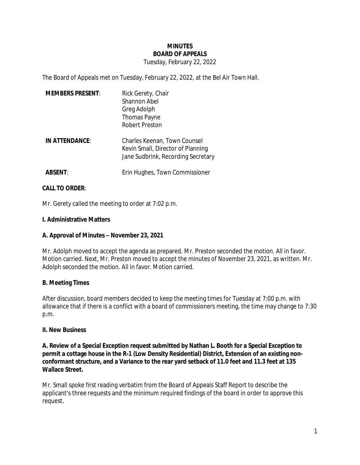## **MINUTES BOARD OF APPEALS**

### Tuesday, February 22, 2022

The Board of Appeals met on Tuesday, February 22, 2022, at the Bel Air Town Hall.

| <b>MEMBERS PRESENT:</b> | Rick Gerety, Chair<br>Shannon Abel<br>Greg Adolph<br><b>Thomas Payne</b><br>Robert Preston              |
|-------------------------|---------------------------------------------------------------------------------------------------------|
| IN ATTENDANCE:          | Charles Keenan, Town Counsel<br>Kevin Small, Director of Planning<br>Jane Sudbrink, Recording Secretary |
| <b>ABSENT:</b>          | Erin Hughes, Town Commissioner                                                                          |

### **CALL TO ORDER**:

Mr. Gerety called the meeting to order at 7:02 p.m.

### **I. Administrative Matters**

#### **A. Approval of Minutes – November 23, 2021**

Mr. Adolph moved to accept the agenda as prepared. Mr. Preston seconded the motion. All in favor. Motion carried. Next, Mr. Preston moved to accept the minutes of November 23, 2021, as written. Mr. Adolph seconded the motion. All in favor. Motion carried.

## **B. Meeting Times**

After discussion, board members decided to keep the meeting times for Tuesday at 7:00 p.m. with allowance that if there is a conflict with a board of commissioners meeting, the time may change to 7:30 p.m.

#### **II. New Business**

**A. Review of a Special Exception request submitted by Nathan L. Booth for a Special Exception to permit a cottage house in the R-1 (Low Density Residential) District, Extension of an existing nonconformant structure, and a Variance to the rear yard setback of 11.0 feet and 11.3 feet at 135 Wallace Street.**

Mr. Small spoke first reading verbatim from the Board of Appeals Staff Report to describe the applicant's three requests and the minimum required findings of the board in order to approve this request.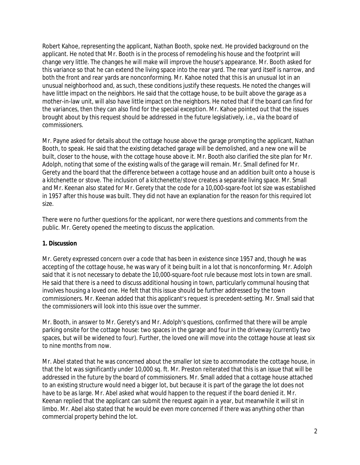Robert Kahoe, representing the applicant, Nathan Booth, spoke next. He provided background on the applicant. He noted that Mr. Booth is in the process of remodeling his house and the footprint will change very little. The changes he will make will improve the house's appearance. Mr. Booth asked for this variance so that he can extend the living space into the rear yard. The rear yard itself is narrow, and both the front and rear yards are nonconforming. Mr. Kahoe noted that this is an unusual lot in an unusual neighborhood and, as such, these conditions justify these requests. He noted the changes will have little impact on the neighbors. He said that the cottage house, to be built above the garage as a mother-in-law unit, will also have little impact on the neighbors. He noted that if the board can find for the variances, then they can also find for the special exception. Mr. Kahoe pointed out that the issues brought about by this request should be addressed in the future legislatively, i.e., via the board of commissioners.

Mr. Payne asked for details about the cottage house above the garage prompting the applicant, Nathan Booth, to speak. He said that the existing detached garage will be demolished, and a new one will be built, closer to the house, with the cottage house above it. Mr. Booth also clarified the site plan for Mr. Adolph, noting that some of the existing walls of the garage will remain. Mr. Small defined for Mr. Gerety and the board that the difference between a cottage house and an addition built onto a house is a kitchenette or stove. The inclusion of a kitchenette/stove creates a separate living space. Mr. Small and Mr. Keenan also stated for Mr. Gerety that the code for a 10,000-sqare-foot lot size was established in 1957 after this house was built. They did not have an explanation for the reason for this required lot size.

There were no further questions for the applicant, nor were there questions and comments from the public. Mr. Gerety opened the meeting to discuss the application.

## **1. Discussion**

Mr. Gerety expressed concern over a code that has been in existence since 1957 and, though he was accepting of the cottage house, he was wary of it being built in a lot that is nonconforming. Mr. Adolph said that it is not necessary to debate the 10,000-square-foot rule because most lots in town are small. He said that there is a need to discuss additional housing in town, particularly communal housing that involves housing a loved one. He felt that this issue should be further addressed by the town commissioners. Mr. Keenan added that this applicant's request is precedent-setting. Mr. Small said that the commissioners will look into this issue over the summer.

Mr. Booth, in answer to Mr. Gerety's and Mr. Adolph's questions, confirmed that there will be ample parking onsite for the cottage house: two spaces in the garage and four in the driveway (currently two spaces, but will be widened to four). Further, the loved one will move into the cottage house at least six to nine months from now.

Mr. Abel stated that he was concerned about the smaller lot size to accommodate the cottage house, in that the lot was significantly under 10,000 sq. ft. Mr. Preston reiterated that this is an issue that will be addressed in the future by the board of commissioners. Mr. Small added that a cottage house attached to an existing structure would need a bigger lot, but because it is part of the garage the lot does not have to be as large. Mr. Abel asked what would happen to the request if the board denied it. Mr. Keenan replied that the applicant can submit the request again in a year, but meanwhile it will sit in limbo. Mr. Abel also stated that he would be even more concerned if there was anything other than commercial property behind the lot.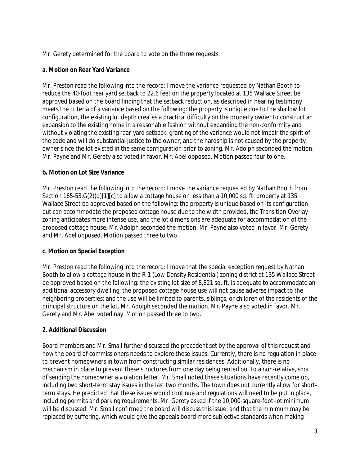Mr. Gerety determined for the board to vote on the three requests.

## **a. Motion on Rear Yard Variance**

Mr. Preston read the following into the record: I move the variance requested by Nathan Booth to reduce the 40-foot rear yard setback to 22.6 feet on the property located at 135 Wallace Street be approved based on the board finding that the setback reduction, as described in hearing testimony meets the criteria of a variance based on the following: the property is unique due to the shallow lot configuration, the existing lot depth creates a practical difficulty on the property owner to construct an expansion to the existing home in a reasonable fashion without expanding the non-conformity and without violating the existing rear-yard setback, granting of the variance would not impair the spirit of the code and will do substantial justice to the owner, and the hardship is not caused by the property owner since the lot existed in the same configuration prior to zoning. Mr. Adolph seconded the motion. Mr. Payne and Mr. Gerety also voted in favor. Mr. Abel opposed. Motion passed four to one.

# **b. Motion on Lot Size Variance**

Mr. Preston read the following into the record: I move the variance requested by Nathan Booth from Section 165-53.G(2)(d)[1][c] to allow a cottage house on less than a 10,000 sq. ft. property at 135 Wallace Street be approved based on the following: the property is unique based on its configuration but can accommodate the proposed cottage house due to the width provided, the Transition Overlay zoning anticipates more intense use, and the lot dimensions are adequate for accommodation of the proposed cottage house. Mr. Adolph seconded the motion. Mr. Payne also voted in favor. Mr. Gerety and Mr. Abel opposed. Motion passed three to two.

# **c. Motion on Special Exception**

Mr. Preston read the following into the record: I move that the special exception request by Nathan Booth to allow a cottage house in the R-1 (Low Density Residential) zoning district at 135 Wallace Street be approved based on the following: the existing lot size of 8,821 sq. ft. is adequate to accommodate an additional accessory dwelling; the proposed cottage house use will not cause adverse impact to the neighboring properties; and the use will be limited to parents, siblings, or children of the residents of the principal structure on the lot. Mr. Adolph seconded the motion. Mr. Payne also voted in favor. Mr. Gerety and Mr. Abel voted nay. Motion passed three to two.

# **2. Additional Discussion**

Board members and Mr. Small further discussed the precedent set by the approval of this request and how the board of commissioners needs to explore these issues. Currently, there is no regulation in place to prevent homeowners in town from constructing similar residences. Additionally, there is no mechanism in place to prevent these structures from one day being rented out to a non-relative, short of sending the homeowner a violation letter. Mr. Small noted these situations have recently come up, including two short-term stay issues in the last two months. The town does not currently allow for shortterm stays. He predicted that these issues would continue and regulations will need to be put in place, including permits and parking requirements. Mr. Gerety asked if the 10,000-square-foot-lot minimum will be discussed. Mr. Small confirmed the board will discuss this issue, and that the minimum may be replaced by buffering, which would give the appeals board more subjective standards when making